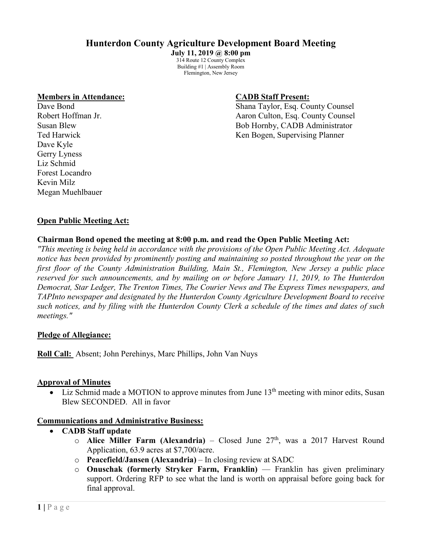# **Hunterdon County Agriculture Development Board Meeting**

**July 11, 2019 @ 8:00 pm** 314 Route 12 County Complex Building #1 | Assembly Room Flemington, New Jersey

#### **Members in Attendance: CADB Staff Present:**

Dave Kyle Gerry Lyness Liz Schmid Forest Locandro Kevin Milz Megan Muehlbauer

Dave Bond Shana Taylor, Esq. County Counsel Robert Hoffman Jr. (a) a real county Counsel and Aaron Culton, Esq. County Counsel Susan Blew Bob Hornby, CADB Administrator Ted Harwick Ken Bogen, Supervising Planner

#### **Open Public Meeting Act:**

#### **Chairman Bond opened the meeting at 8:00 p.m. and read the Open Public Meeting Act:**

*"This meeting is being held in accordance with the provisions of the Open Public Meeting Act. Adequate notice has been provided by prominently posting and maintaining so posted throughout the year on the first floor of the County Administration Building, Main St., Flemington, New Jersey a public place reserved for such announcements, and by mailing on or before January 11, 2019, to The Hunterdon Democrat, Star Ledger, The Trenton Times, The Courier News and The Express Times newspapers, and TAPInto newspaper and designated by the Hunterdon County Agriculture Development Board to receive such notices, and by filing with the Hunterdon County Clerk a schedule of the times and dates of such meetings."*

#### **Pledge of Allegiance:**

**Roll Call:** Absent; John Perehinys, Marc Phillips, John Van Nuys

#### **Approval of Minutes**

Liz Schmid made a MOTION to approve minutes from June  $13<sup>th</sup>$  meeting with minor edits, Susan Blew SECONDED. All in favor

#### **Communications and Administrative Business:**

- **CADB Staff update**
	- $\circ$  **Alice Miller Farm (Alexandria)** Closed June 27<sup>th</sup>, was a 2017 Harvest Round Application, 63.9 acres at \$7,700/acre.
	- o **Peacefield/Jansen (Alexandria)** In closing review at SADC
	- o **Onuschak (formerly Stryker Farm, Franklin)** –– Franklin has given preliminary support. Ordering RFP to see what the land is worth on appraisal before going back for final approval.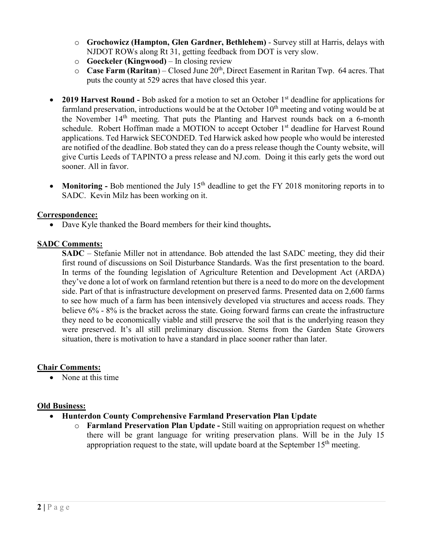- o **Grochowicz (Hampton, Glen Gardner, Bethlehem)** Survey still at Harris, delays with NJDOT ROWs along Rt 31, getting feedback from DOT is very slow.
- o **Goeckeler (Kingwood)** In closing review
- o **Case Farm (Raritan**) Closed June 20th, Direct Easement in Raritan Twp. 64 acres. That puts the county at 529 acres that have closed this year.
- 2019 Harvest Round Bob asked for a motion to set an October 1<sup>st</sup> deadline for applications for farmland preservation, introductions would be at the October  $10<sup>th</sup>$  meeting and voting would be at the November 14th meeting. That puts the Planting and Harvest rounds back on a 6-month schedule. Robert Hoffman made a MOTION to accept October 1<sup>st</sup> deadline for Harvest Round applications. Ted Harwick SECONDED. Ted Harwick asked how people who would be interested are notified of the deadline. Bob stated they can do a press release though the County website, will give Curtis Leeds of TAPINTO a press release and NJ.com. Doing it this early gets the word out sooner. All in favor.
- **Monitoring** Bob mentioned the July 15<sup>th</sup> deadline to get the FY 2018 monitoring reports in to SADC. Kevin Milz has been working on it.

# **Correspondence:**

• Dave Kyle thanked the Board members for their kind thoughts**.**

# **SADC Comments:**

**SADC** – Stefanie Miller not in attendance. Bob attended the last SADC meeting, they did their first round of discussions on Soil Disturbance Standards. Was the first presentation to the board. In terms of the founding legislation of Agriculture Retention and Development Act (ARDA) they've done a lot of work on farmland retention but there is a need to do more on the development side. Part of that is infrastructure development on preserved farms. Presented data on 2,600 farms to see how much of a farm has been intensively developed via structures and access roads. They believe 6% - 8% is the bracket across the state. Going forward farms can create the infrastructure they need to be economically viable and still preserve the soil that is the underlying reason they were preserved. It's all still preliminary discussion. Stems from the Garden State Growers situation, there is motivation to have a standard in place sooner rather than later.

# **Chair Comments:**

• None at this time

# **Old Business:**

- **Hunterdon County Comprehensive Farmland Preservation Plan Update**
	- o **Farmland Preservation Plan Update -** Still waiting on appropriation request on whether there will be grant language for writing preservation plans. Will be in the July 15 appropriation request to the state, will update board at the September  $15<sup>th</sup>$  meeting.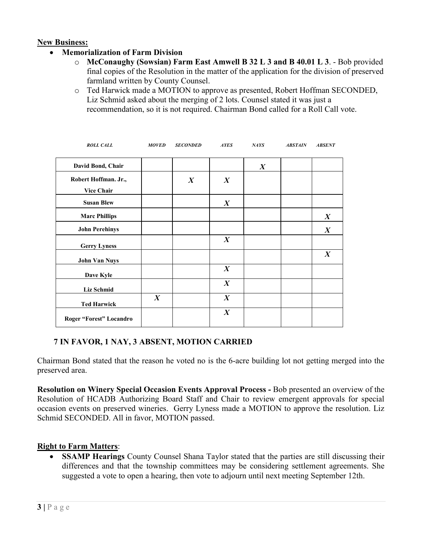#### **New Business:**

- **Memorialization of Farm Division**
	- o **McConaughy (Sowsian) Farm East Amwell B 32 L 3 and B 40.01 L 3**. Bob provided final copies of the Resolution in the matter of the application for the division of preserved farmland written by County Counsel.
	- o Ted Harwick made a MOTION to approve as presented, Robert Hoffman SECONDED, Liz Schmid asked about the merging of 2 lots. Counsel stated it was just a recommendation, so it is not required. Chairman Bond called for a Roll Call vote.

| <b>ROLL CALL</b>        | <b>MOVED</b>     | <b>SECONDED</b>  | <b>AYES</b>      | NAYS             | <b>ABSTAIN</b> | <b>ABSENT</b>    |
|-------------------------|------------------|------------------|------------------|------------------|----------------|------------------|
| David Bond, Chair       |                  |                  |                  | $\boldsymbol{X}$ |                |                  |
| Robert Hoffman. Jr.,    |                  | $\boldsymbol{X}$ | $\boldsymbol{X}$ |                  |                |                  |
| <b>Vice Chair</b>       |                  |                  |                  |                  |                |                  |
| <b>Susan Blew</b>       |                  |                  | $\boldsymbol{X}$ |                  |                |                  |
| <b>Marc Phillips</b>    |                  |                  |                  |                  |                | $\boldsymbol{X}$ |
| <b>John Perehinys</b>   |                  |                  |                  |                  |                | $\boldsymbol{X}$ |
| <b>Gerry Lyness</b>     |                  |                  | $\boldsymbol{X}$ |                  |                |                  |
| <b>John Van Nuys</b>    |                  |                  |                  |                  |                | $\boldsymbol{X}$ |
| Dave Kyle               |                  |                  | $\boldsymbol{X}$ |                  |                |                  |
| <b>Liz Schmid</b>       |                  |                  | $\boldsymbol{X}$ |                  |                |                  |
| <b>Ted Harwick</b>      | $\boldsymbol{X}$ |                  | $\boldsymbol{X}$ |                  |                |                  |
| Roger "Forest" Locandro |                  |                  | $\boldsymbol{X}$ |                  |                |                  |

# **7 IN FAVOR, 1 NAY, 3 ABSENT, MOTION CARRIED**

Chairman Bond stated that the reason he voted no is the 6-acre building lot not getting merged into the preserved area.

**Resolution on Winery Special Occasion Events Approval Process -** Bob presented an overview of the Resolution of HCADB Authorizing Board Staff and Chair to review emergent approvals for special occasion events on preserved wineries. Gerry Lyness made a MOTION to approve the resolution. Liz Schmid SECONDED. All in favor, MOTION passed.

# **Right to Farm Matters**:

• **SSAMP Hearings** County Counsel Shana Taylor stated that the parties are still discussing their differences and that the township committees may be considering settlement agreements. She suggested a vote to open a hearing, then vote to adjourn until next meeting September 12th.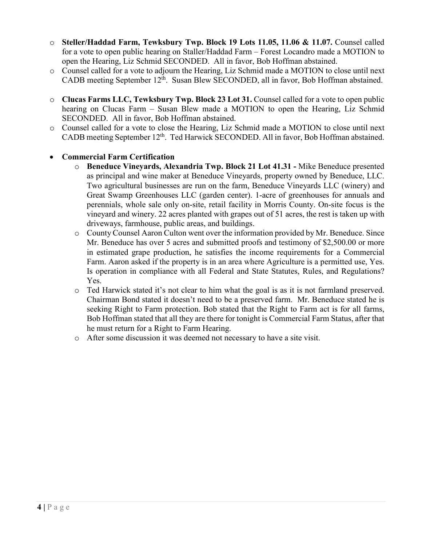- o **Steller/Haddad Farm, Tewksbury Twp. Block 19 Lots 11.05, 11.06 & 11.07.** Counsel called for a vote to open public hearing on Staller/Haddad Farm – Forest Locandro made a MOTION to open the Hearing, Liz Schmid SECONDED. All in favor, Bob Hoffman abstained.
- o Counsel called for a vote to adjourn the Hearing, Liz Schmid made a MOTION to close until next CADB meeting September 12<sup>th</sup>. Susan Blew SECONDED, all in favor, Bob Hoffman abstained.
- o **Clucas Farms LLC, Tewksbury Twp. Block 23 Lot 31.** Counsel called for a vote to open public hearing on Clucas Farm – Susan Blew made a MOTION to open the Hearing, Liz Schmid SECONDED. All in favor, Bob Hoffman abstained.
- o Counsel called for a vote to close the Hearing, Liz Schmid made a MOTION to close until next CADB meeting September 12<sup>th</sup>. Ted Harwick SECONDED. All in favor, Bob Hoffman abstained.

# • **Commercial Farm Certification**

- o **Beneduce Vineyards, Alexandria Twp. Block 21 Lot 41.31 -** Mike Beneduce presented as principal and wine maker at Beneduce Vineyards, property owned by Beneduce, LLC. Two agricultural businesses are run on the farm, Beneduce Vineyards LLC (winery) and Great Swamp Greenhouses LLC (garden center). 1-acre of greenhouses for annuals and perennials, whole sale only on-site, retail facility in Morris County. On-site focus is the vineyard and winery. 22 acres planted with grapes out of 51 acres, the rest is taken up with driveways, farmhouse, public areas, and buildings.
- o County Counsel Aaron Culton went over the information provided by Mr. Beneduce. Since Mr. Beneduce has over 5 acres and submitted proofs and testimony of \$2,500.00 or more in estimated grape production, he satisfies the income requirements for a Commercial Farm. Aaron asked if the property is in an area where Agriculture is a permitted use, Yes. Is operation in compliance with all Federal and State Statutes, Rules, and Regulations? Yes.
- o Ted Harwick stated it's not clear to him what the goal is as it is not farmland preserved. Chairman Bond stated it doesn't need to be a preserved farm. Mr. Beneduce stated he is seeking Right to Farm protection. Bob stated that the Right to Farm act is for all farms, Bob Hoffman stated that all they are there for tonight is Commercial Farm Status, after that he must return for a Right to Farm Hearing.
- o After some discussion it was deemed not necessary to have a site visit.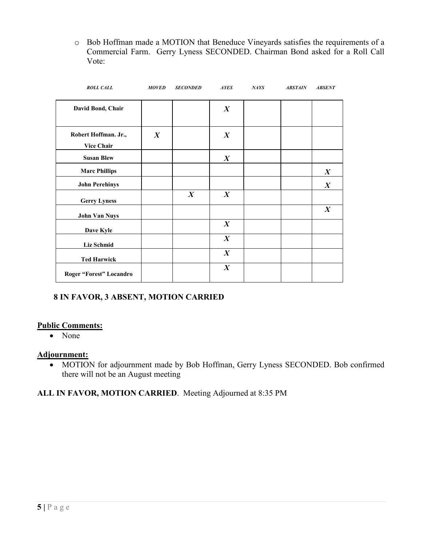o Bob Hoffman made a MOTION that Beneduce Vineyards satisfies the requirements of a Commercial Farm. Gerry Lyness SECONDED. Chairman Bond asked for a Roll Call Vote:

| <b>ROLL CALL</b>                          | <b>MOVED</b>     | <b>SECONDED</b>  | <b>AYES</b>      | NATS | <b>ABSTAIN</b> | <b>ABSENT</b>    |
|-------------------------------------------|------------------|------------------|------------------|------|----------------|------------------|
| David Bond, Chair                         |                  |                  | $\boldsymbol{X}$ |      |                |                  |
| Robert Hoffman. Jr.,<br><b>Vice Chair</b> | $\boldsymbol{X}$ |                  | $\boldsymbol{X}$ |      |                |                  |
| <b>Susan Blew</b>                         |                  |                  | $\boldsymbol{X}$ |      |                |                  |
| <b>Marc Phillips</b>                      |                  |                  |                  |      |                | $\boldsymbol{X}$ |
| <b>John Perehinys</b>                     |                  |                  |                  |      |                | $\boldsymbol{X}$ |
| <b>Gerry Lyness</b>                       |                  | $\boldsymbol{X}$ | $\boldsymbol{X}$ |      |                |                  |
| <b>John Van Nuys</b>                      |                  |                  |                  |      |                | $\boldsymbol{X}$ |
| Dave Kyle                                 |                  |                  | $\boldsymbol{X}$ |      |                |                  |
| <b>Liz Schmid</b>                         |                  |                  | $\boldsymbol{X}$ |      |                |                  |
| <b>Ted Harwick</b>                        |                  |                  | $\boldsymbol{X}$ |      |                |                  |
| Roger "Forest" Locandro                   |                  |                  | $\boldsymbol{X}$ |      |                |                  |

# **8 IN FAVOR, 3 ABSENT, MOTION CARRIED**

# **Public Comments:**

• None

# **Adjournment:**

• MOTION for adjournment made by Bob Hoffman, Gerry Lyness SECONDED. Bob confirmed there will not be an August meeting

# **ALL IN FAVOR, MOTION CARRIED**. Meeting Adjourned at 8:35 PM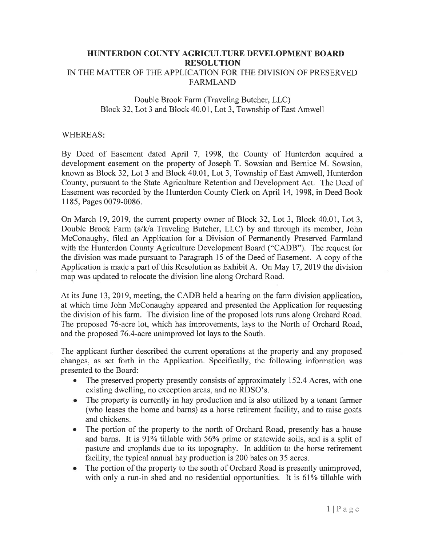#### HUNTERDON COUNTY AGRICULTURE DEVELOPMENT BOARD **RESOLUTION** IN THE MATTER OF THE APPLICATION FOR THE DIVISION OF PRESERVED **FARMLAND**

#### Double Brook Farm (Traveling Butcher, LLC) Block 32, Lot 3 and Block 40.01, Lot 3, Township of East Amwell

#### **WHEREAS:**

By Deed of Easement dated April 7, 1998, the County of Hunterdon acquired a development easement on the property of Joseph T. Sowsian and Bernice M. Sowsian, known as Block 32, Lot 3 and Block 40.01, Lot 3, Township of East Amwell, Hunterdon County, pursuant to the State Agriculture Retention and Development Act. The Deed of Easement was recorded by the Hunterdon County Clerk on April 14, 1998, in Deed Book 1185, Pages 0079-0086.

On March 19, 2019, the current property owner of Block 32, Lot 3, Block 40.01, Lot 3, Double Brook Farm (a/k/a Traveling Butcher, LLC) by and through its member, John McConaughy, filed an Application for a Division of Permanently Preserved Farmland with the Hunterdon County Agriculture Development Board ("CADB"). The request for the division was made pursuant to Paragraph 15 of the Deed of Easement. A copy of the Application is made a part of this Resolution as Exhibit A. On May 17, 2019 the division map was updated to relocate the division line along Orchard Road.

At its June 13, 2019, meeting, the CADB held a hearing on the farm division application, at which time John McConaughy appeared and presented the Application for requesting the division of his farm. The division line of the proposed lots runs along Orchard Road. The proposed 76-acre lot, which has improvements, lays to the North of Orchard Road, and the proposed 76.4-acre unimproved lot lays to the South.

The applicant further described the current operations at the property and any proposed changes, as set forth in the Application. Specifically, the following information was presented to the Board:

- The preserved property presently consists of approximately 152.4 Acres, with one existing dwelling, no exception areas, and no RDSO's.
- The property is currently in hay production and is also utilized by a tenant farmer  $\bullet$ (who leases the home and barns) as a horse retirement facility, and to raise goats and chickens.
- The portion of the property to the north of Orchard Road, presently has a house and barns. It is 91% tillable with 56% prime or statewide soils, and is a split of pasture and croplands due to its topography. In addition to the horse retirement facility, the typical annual hay production is 200 bales on 35 acres.
- The portion of the property to the south of Orchard Road is presently unimproved, with only a run-in shed and no residential opportunities. It is 61% tillable with